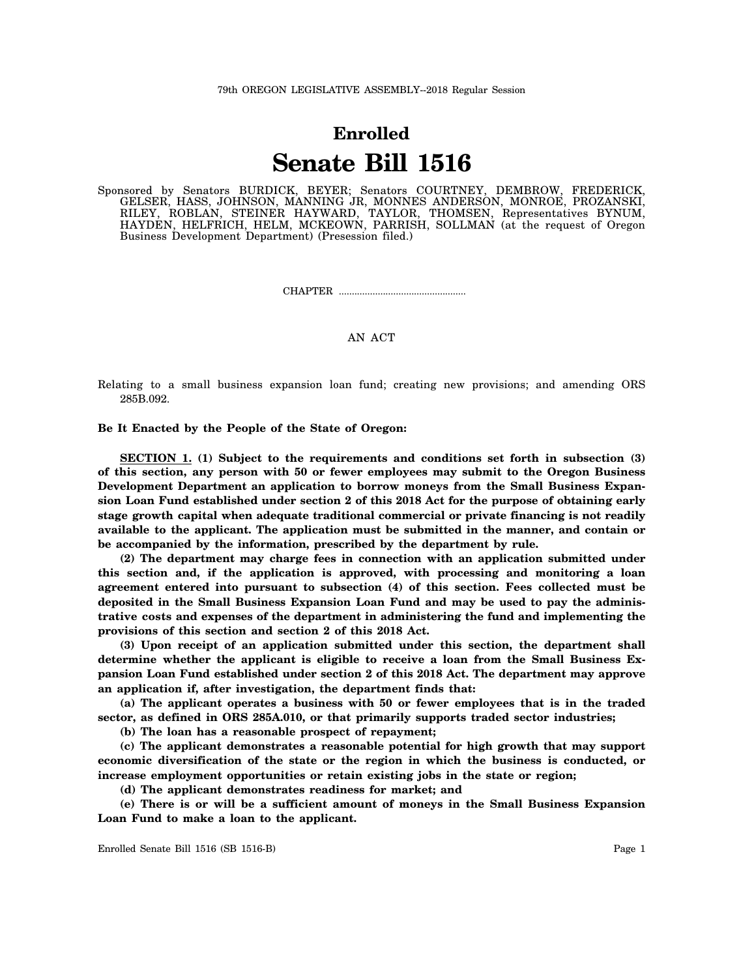## **Enrolled Senate Bill 1516**

Sponsored by Senators BURDICK, BEYER; Senators COURTNEY, DEMBROW, FREDERICK, GELSER, HASS, JOHNSON, MANNING JR, MONNES ANDERSON, MONROE, PROZANSKI, RILEY, ROBLAN, STEINER HAYWARD, TAYLOR, THOMSEN, Representatives BYNUM, HAYDEN, HELFRICH, HELM, MCKEOWN, PARRISH, SOLLMAN (at the request of Oregon Business Development Department) (Presession filed.)

CHAPTER .................................................

## AN ACT

Relating to a small business expansion loan fund; creating new provisions; and amending ORS 285B.092.

**Be It Enacted by the People of the State of Oregon:**

**SECTION 1. (1) Subject to the requirements and conditions set forth in subsection (3) of this section, any person with 50 or fewer employees may submit to the Oregon Business Development Department an application to borrow moneys from the Small Business Expansion Loan Fund established under section 2 of this 2018 Act for the purpose of obtaining early stage growth capital when adequate traditional commercial or private financing is not readily available to the applicant. The application must be submitted in the manner, and contain or be accompanied by the information, prescribed by the department by rule.**

**(2) The department may charge fees in connection with an application submitted under this section and, if the application is approved, with processing and monitoring a loan agreement entered into pursuant to subsection (4) of this section. Fees collected must be deposited in the Small Business Expansion Loan Fund and may be used to pay the administrative costs and expenses of the department in administering the fund and implementing the provisions of this section and section 2 of this 2018 Act.**

**(3) Upon receipt of an application submitted under this section, the department shall determine whether the applicant is eligible to receive a loan from the Small Business Expansion Loan Fund established under section 2 of this 2018 Act. The department may approve an application if, after investigation, the department finds that:**

**(a) The applicant operates a business with 50 or fewer employees that is in the traded sector, as defined in ORS 285A.010, or that primarily supports traded sector industries;**

**(b) The loan has a reasonable prospect of repayment;**

**(c) The applicant demonstrates a reasonable potential for high growth that may support economic diversification of the state or the region in which the business is conducted, or increase employment opportunities or retain existing jobs in the state or region;**

**(d) The applicant demonstrates readiness for market; and**

**(e) There is or will be a sufficient amount of moneys in the Small Business Expansion Loan Fund to make a loan to the applicant.**

Enrolled Senate Bill 1516 (SB 1516-B) Page 1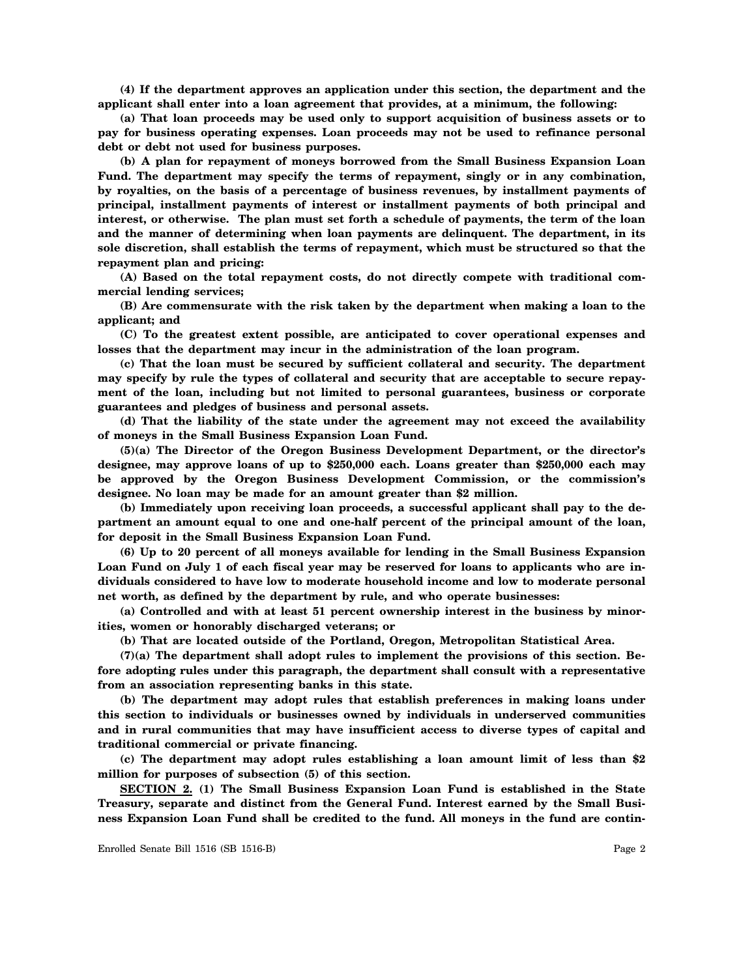**(4) If the department approves an application under this section, the department and the applicant shall enter into a loan agreement that provides, at a minimum, the following:**

**(a) That loan proceeds may be used only to support acquisition of business assets or to pay for business operating expenses. Loan proceeds may not be used to refinance personal debt or debt not used for business purposes.**

**(b) A plan for repayment of moneys borrowed from the Small Business Expansion Loan Fund. The department may specify the terms of repayment, singly or in any combination, by royalties, on the basis of a percentage of business revenues, by installment payments of principal, installment payments of interest or installment payments of both principal and interest, or otherwise. The plan must set forth a schedule of payments, the term of the loan and the manner of determining when loan payments are delinquent. The department, in its sole discretion, shall establish the terms of repayment, which must be structured so that the repayment plan and pricing:**

**(A) Based on the total repayment costs, do not directly compete with traditional commercial lending services;**

**(B) Are commensurate with the risk taken by the department when making a loan to the applicant; and**

**(C) To the greatest extent possible, are anticipated to cover operational expenses and losses that the department may incur in the administration of the loan program.**

**(c) That the loan must be secured by sufficient collateral and security. The department may specify by rule the types of collateral and security that are acceptable to secure repayment of the loan, including but not limited to personal guarantees, business or corporate guarantees and pledges of business and personal assets.**

**(d) That the liability of the state under the agreement may not exceed the availability of moneys in the Small Business Expansion Loan Fund.**

**(5)(a) The Director of the Oregon Business Development Department, or the director's designee, may approve loans of up to \$250,000 each. Loans greater than \$250,000 each may be approved by the Oregon Business Development Commission, or the commission's designee. No loan may be made for an amount greater than \$2 million.**

**(b) Immediately upon receiving loan proceeds, a successful applicant shall pay to the department an amount equal to one and one-half percent of the principal amount of the loan, for deposit in the Small Business Expansion Loan Fund.**

**(6) Up to 20 percent of all moneys available for lending in the Small Business Expansion Loan Fund on July 1 of each fiscal year may be reserved for loans to applicants who are individuals considered to have low to moderate household income and low to moderate personal net worth, as defined by the department by rule, and who operate businesses:**

**(a) Controlled and with at least 51 percent ownership interest in the business by minorities, women or honorably discharged veterans; or**

**(b) That are located outside of the Portland, Oregon, Metropolitan Statistical Area.**

**(7)(a) The department shall adopt rules to implement the provisions of this section. Before adopting rules under this paragraph, the department shall consult with a representative from an association representing banks in this state.**

**(b) The department may adopt rules that establish preferences in making loans under this section to individuals or businesses owned by individuals in underserved communities and in rural communities that may have insufficient access to diverse types of capital and traditional commercial or private financing.**

**(c) The department may adopt rules establishing a loan amount limit of less than \$2 million for purposes of subsection (5) of this section.**

**SECTION 2. (1) The Small Business Expansion Loan Fund is established in the State Treasury, separate and distinct from the General Fund. Interest earned by the Small Business Expansion Loan Fund shall be credited to the fund. All moneys in the fund are contin-**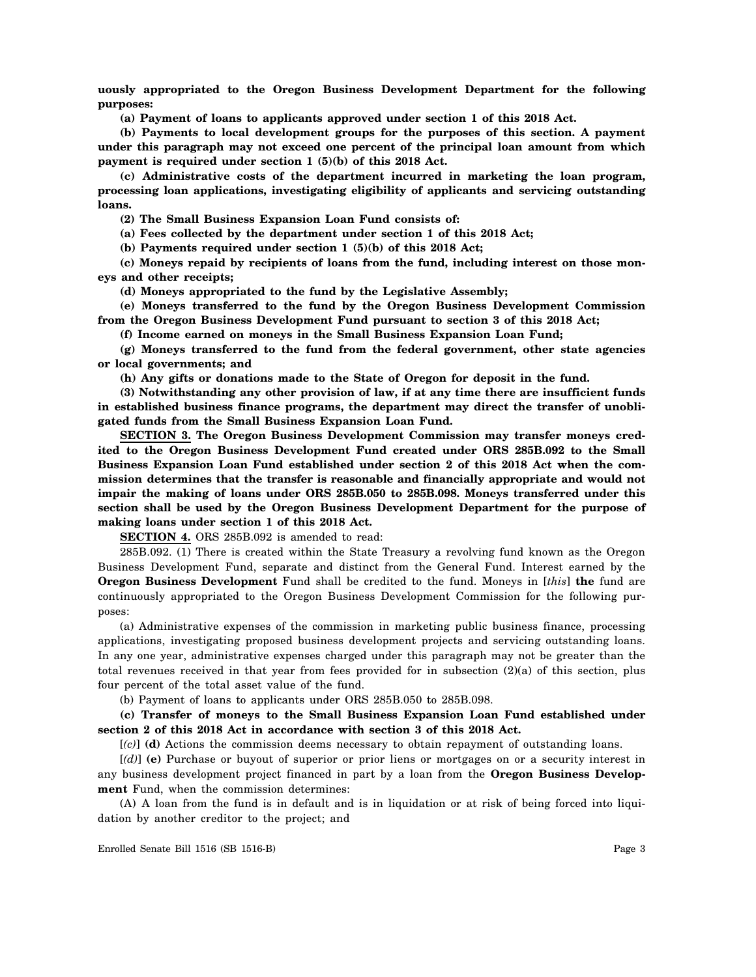**uously appropriated to the Oregon Business Development Department for the following purposes:**

**(a) Payment of loans to applicants approved under section 1 of this 2018 Act.**

**(b) Payments to local development groups for the purposes of this section. A payment under this paragraph may not exceed one percent of the principal loan amount from which payment is required under section 1 (5)(b) of this 2018 Act.**

**(c) Administrative costs of the department incurred in marketing the loan program, processing loan applications, investigating eligibility of applicants and servicing outstanding loans.**

**(2) The Small Business Expansion Loan Fund consists of:**

**(a) Fees collected by the department under section 1 of this 2018 Act;**

**(b) Payments required under section 1 (5)(b) of this 2018 Act;**

**(c) Moneys repaid by recipients of loans from the fund, including interest on those moneys and other receipts;**

**(d) Moneys appropriated to the fund by the Legislative Assembly;**

**(e) Moneys transferred to the fund by the Oregon Business Development Commission from the Oregon Business Development Fund pursuant to section 3 of this 2018 Act;**

**(f) Income earned on moneys in the Small Business Expansion Loan Fund;**

**(g) Moneys transferred to the fund from the federal government, other state agencies or local governments; and**

**(h) Any gifts or donations made to the State of Oregon for deposit in the fund.**

**(3) Notwithstanding any other provision of law, if at any time there are insufficient funds in established business finance programs, the department may direct the transfer of unobligated funds from the Small Business Expansion Loan Fund.**

**SECTION 3. The Oregon Business Development Commission may transfer moneys credited to the Oregon Business Development Fund created under ORS 285B.092 to the Small Business Expansion Loan Fund established under section 2 of this 2018 Act when the commission determines that the transfer is reasonable and financially appropriate and would not impair the making of loans under ORS 285B.050 to 285B.098. Moneys transferred under this section shall be used by the Oregon Business Development Department for the purpose of making loans under section 1 of this 2018 Act.**

**SECTION 4.** ORS 285B.092 is amended to read:

285B.092. (1) There is created within the State Treasury a revolving fund known as the Oregon Business Development Fund, separate and distinct from the General Fund. Interest earned by the **Oregon Business Development** Fund shall be credited to the fund. Moneys in [*this*] **the** fund are continuously appropriated to the Oregon Business Development Commission for the following purposes:

(a) Administrative expenses of the commission in marketing public business finance, processing applications, investigating proposed business development projects and servicing outstanding loans. In any one year, administrative expenses charged under this paragraph may not be greater than the total revenues received in that year from fees provided for in subsection (2)(a) of this section, plus four percent of the total asset value of the fund.

(b) Payment of loans to applicants under ORS 285B.050 to 285B.098.

**(c) Transfer of moneys to the Small Business Expansion Loan Fund established under section 2 of this 2018 Act in accordance with section 3 of this 2018 Act.**

[*(c)*] **(d)** Actions the commission deems necessary to obtain repayment of outstanding loans.

[*(d)*] **(e)** Purchase or buyout of superior or prior liens or mortgages on or a security interest in any business development project financed in part by a loan from the **Oregon Business Development** Fund, when the commission determines:

(A) A loan from the fund is in default and is in liquidation or at risk of being forced into liquidation by another creditor to the project; and

Enrolled Senate Bill 1516 (SB 1516-B) Page 3